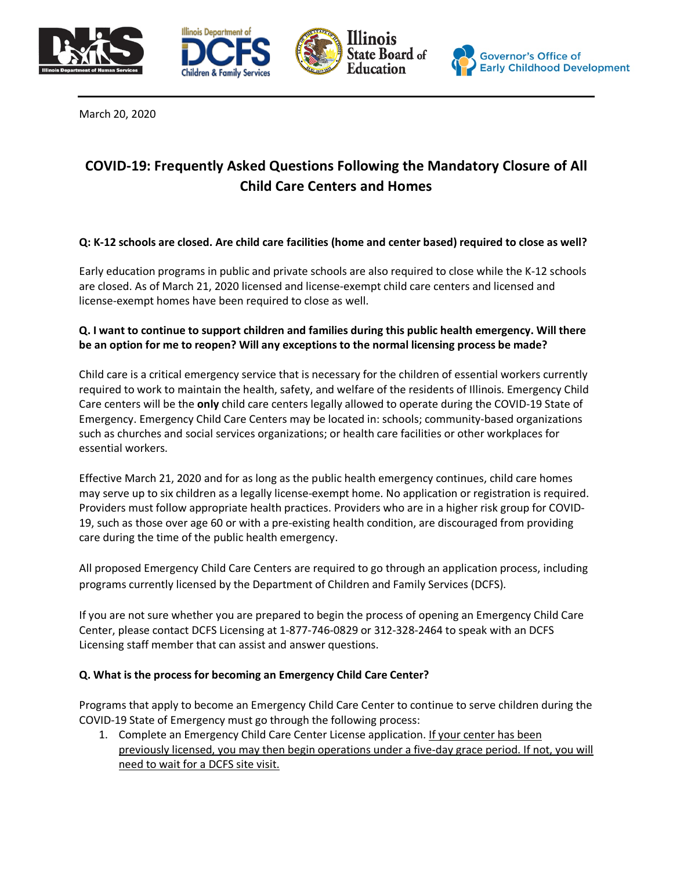







March 20, 2020

# **COVID-19: Frequently Asked Questions Following the Mandatory Closure of All Child Care Centers and Homes**

# **Q: K-12 schools are closed. Are child care facilities (home and center based) required to close as well?**

Early education programs in public and private schools are also required to close while the K-12 schools are closed. As of March 21, 2020 licensed and license-exempt child care centers and licensed and license-exempt homes have been required to close as well.

# **Q. I want to continue to support children and families during this public health emergency. Will there be an option for me to reopen? Will any exceptions to the normal licensing process be made?**

Child care is a critical emergency service that is necessary for the children of essential workers currently required to work to maintain the health, safety, and welfare of the residents of Illinois. Emergency Child Care centers will be the **only** child care centers legally allowed to operate during the COVID-19 State of Emergency. Emergency Child Care Centers may be located in: schools; community-based organizations such as churches and social services organizations; or health care facilities or other workplaces for essential workers.

Effective March 21, 2020 and for as long as the public health emergency continues, child care homes may serve up to six children as a legally license-exempt home. No application or registration is required. Providers must follow appropriate health practices. Providers who are in a higher risk group for COVID-19, such as those over age 60 or with a pre-existing health condition, are discouraged from providing care during the time of the public health emergency.

All proposed Emergency Child Care Centers are required to go through an application process, including programs currently licensed by the Department of Children and Family Services (DCFS).

If you are not sure whether you are prepared to begin the process of opening an Emergency Child Care Center, please contact DCFS Licensing at 1-877-746-0829 or 312-328-2464 to speak with an DCFS Licensing staff member that can assist and answer questions.

## **Q. What is the process for becoming an Emergency Child Care Center?**

Programs that apply to become an Emergency Child Care Center to continue to serve children during the COVID-19 State of Emergency must go through the following process:

1. Complete an Emergency Child Care Center License application. If your center has been previously licensed, you may then begin operations under a five-day grace period. If not, you will need to wait for a DCFS site visit.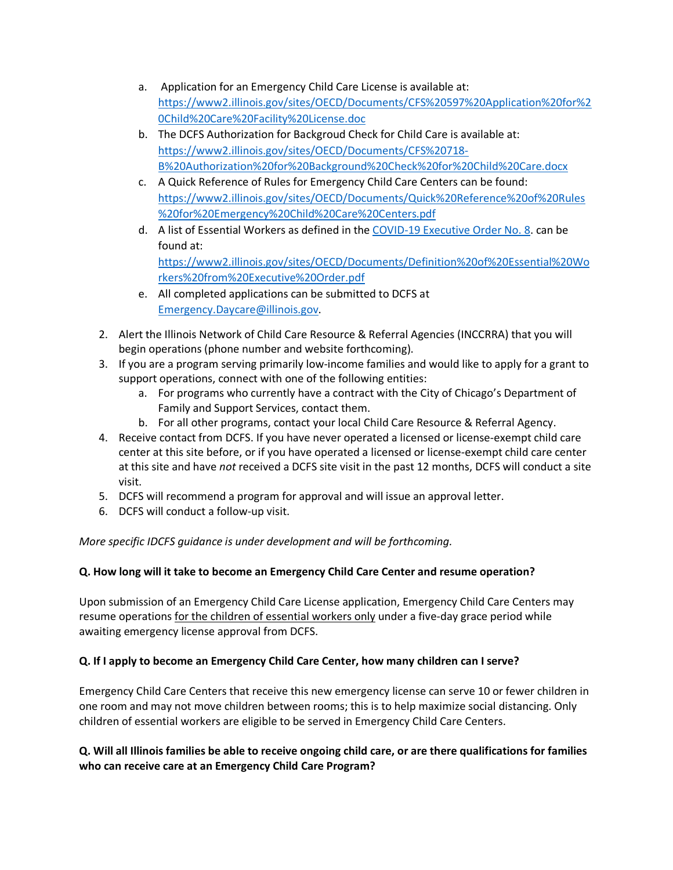- a. Application for an Emergency Child Care License is available at: [https://www2.illinois.gov/sites/OECD/Documents/CFS%20597%20Application%20for%2](https://www2.illinois.gov/sites/OECD/Documents/CFS%20597%20Application%20for%20Child%20Care%20Facility%20License.doc) [0Child%20Care%20Facility%20License.doc](https://www2.illinois.gov/sites/OECD/Documents/CFS%20597%20Application%20for%20Child%20Care%20Facility%20License.doc)
- b. The DCFS Authorization for Backgroud Check for Child Care is available at: [https://www2.illinois.gov/sites/OECD/Documents/CFS%20718-](https://www2.illinois.gov/sites/OECD/Documents/CFS%20718-B%20Authorization%20for%20Background%20Check%20for%20Child%20Care.docx) [B%20Authorization%20for%20Background%20Check%20for%20Child%20Care.docx](https://www2.illinois.gov/sites/OECD/Documents/CFS%20718-B%20Authorization%20for%20Background%20Check%20for%20Child%20Care.docx)
- c. A Quick Reference of Rules for Emergency Child Care Centers can be found: [https://www2.illinois.gov/sites/OECD/Documents/Quick%20Reference%20of%20Rules](https://www2.illinois.gov/sites/OECD/Documents/Quick%20Reference%20of%20Rules%20for%20Emergency%20Child%20Care%20Centers.pdf) [%20for%20Emergency%20Child%20Care%20Centers.pdf](https://www2.illinois.gov/sites/OECD/Documents/Quick%20Reference%20of%20Rules%20for%20Emergency%20Child%20Care%20Centers.pdf)
- d. A list of Essential Workers as defined in the [COVID-19 Executive Order No. 8.](https://www2.illinois.gov/sites/OECD/Documents/Gov.%20Pritzker%20Stay%20at%20Home%20Order.pdf) can be found at: [https://www2.illinois.gov/sites/OECD/Documents/Definition%20of%20Essential%20Wo](https://www2.illinois.gov/sites/OECD/Documents/Definition%20of%20Essential%20Workers%20from%20Executive%20Order.pdf) [rkers%20from%20Executive%20Order.pdf](https://www2.illinois.gov/sites/OECD/Documents/Definition%20of%20Essential%20Workers%20from%20Executive%20Order.pdf)
- e. All completed applications can be submitted to DCFS at [Emergency.Daycare@illinois.gov.](mailto:Emergency.Daycare@illinois.gov)
- 2. Alert the Illinois Network of Child Care Resource & Referral Agencies (INCCRRA) that you will begin operations (phone number and website forthcoming).
- 3. If you are a program serving primarily low-income families and would like to apply for a grant to support operations, connect with one of the following entities:
	- a. For programs who currently have a contract with the City of Chicago's Department of Family and Support Services, contact them.
	- b. For all other programs, contact your local Child Care Resource & Referral Agency.
- 4. Receive contact from DCFS. If you have never operated a licensed or license-exempt child care center at this site before, or if you have operated a licensed or license-exempt child care center at this site and have *not* received a DCFS site visit in the past 12 months, DCFS will conduct a site visit.
- 5. DCFS will recommend a program for approval and will issue an approval letter.
- 6. DCFS will conduct a follow-up visit.

*More specific IDCFS guidance is under development and will be forthcoming.*

# **Q. How long will it take to become an Emergency Child Care Center and resume operation?**

Upon submission of an Emergency Child Care License application, Emergency Child Care Centers may resume operations for the children of essential workers only under a five-day grace period while awaiting emergency license approval from DCFS.

# **Q. If I apply to become an Emergency Child Care Center, how many children can I serve?**

Emergency Child Care Centers that receive this new emergency license can serve 10 or fewer children in one room and may not move children between rooms; this is to help maximize social distancing. Only children of essential workers are eligible to be served in Emergency Child Care Centers.

# **Q. Will all Illinois families be able to receive ongoing child care, or are there qualifications for families who can receive care at an Emergency Child Care Program?**